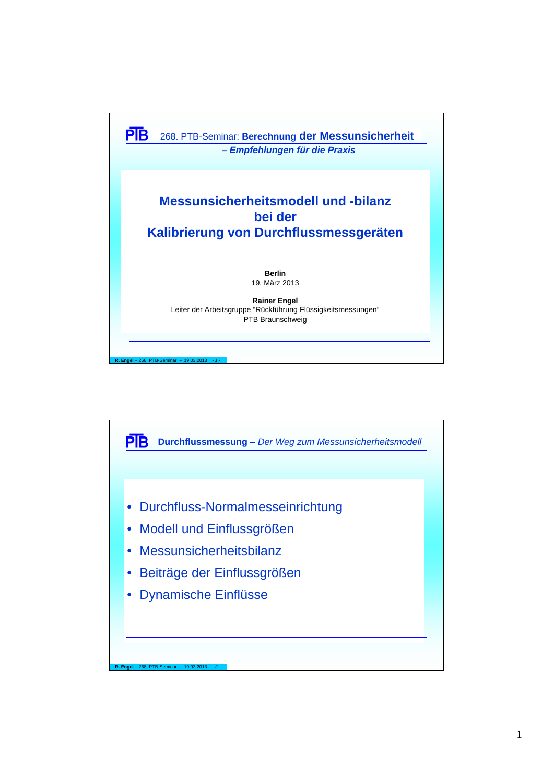

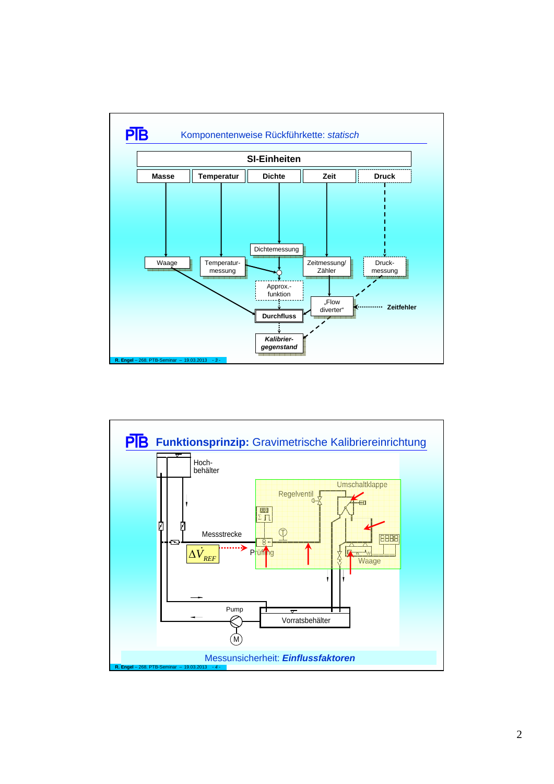

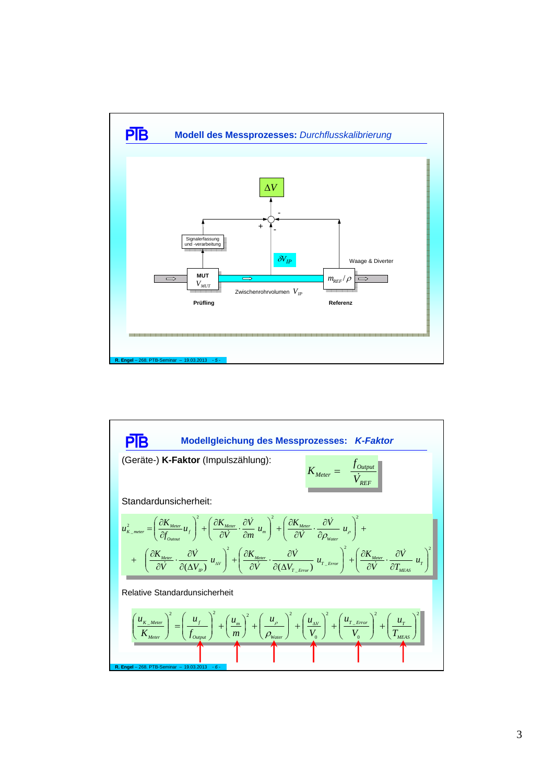

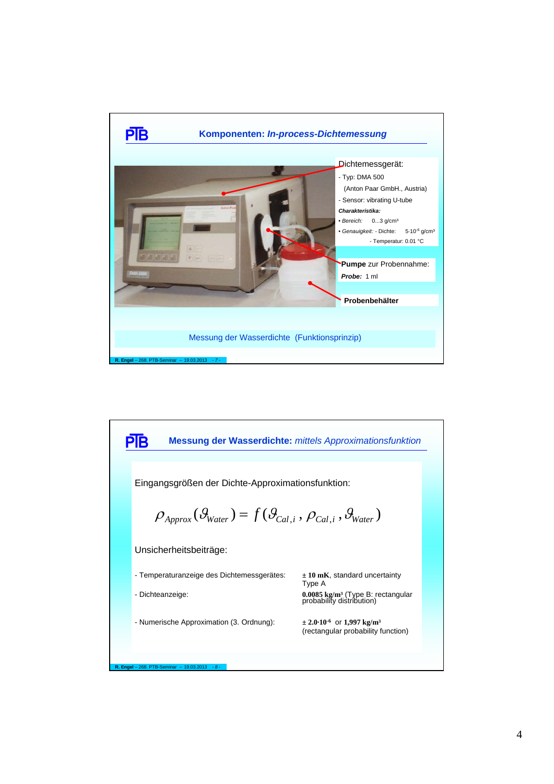

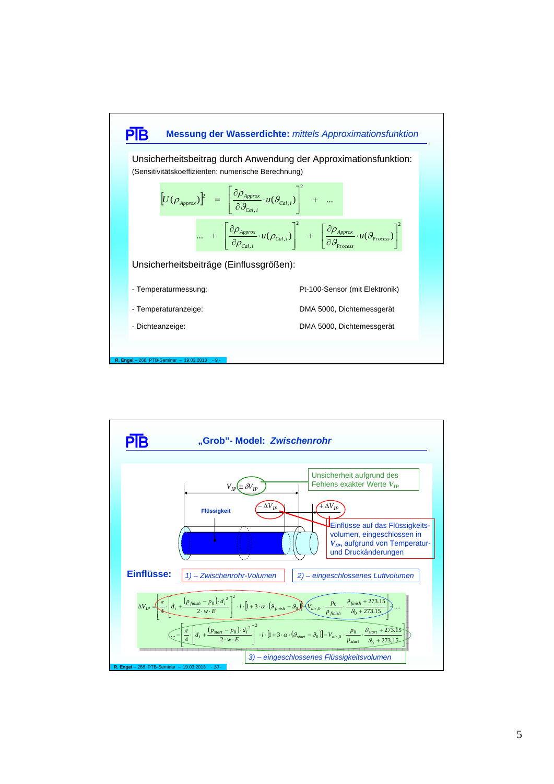

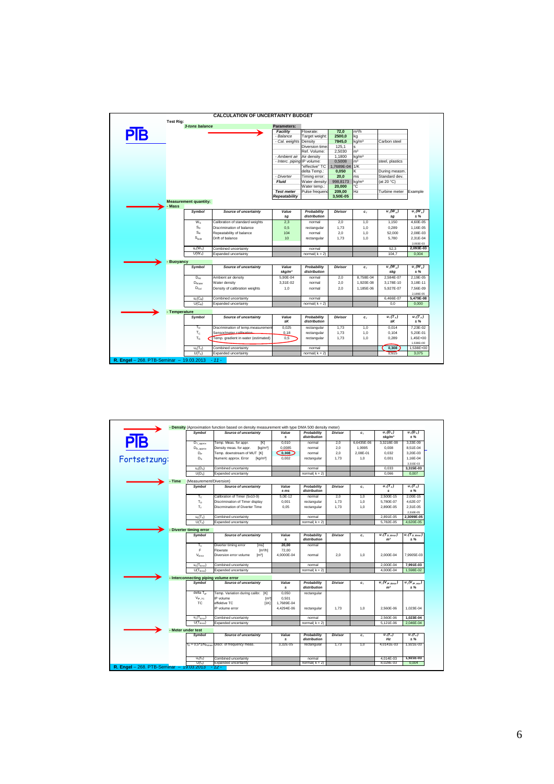|     | <b>Test Rig:</b> | 3-tons balance               |                                     | Parameters:                 |                             |                |                   |                  |                        |
|-----|------------------|------------------------------|-------------------------------------|-----------------------------|-----------------------------|----------------|-------------------|------------------|------------------------|
|     |                  |                              |                                     | <b>Facility</b>             | Flowrate:                   | 72.0           | m <sup>3</sup> /h |                  |                        |
| PIB |                  |                              |                                     | - Balance                   | <b>Target weight:</b>       | 2500,0         | kg                |                  |                        |
|     |                  |                              |                                     | - Cal. weights              | Density                     | 7845,0         | kg/m <sup>3</sup> | Carbon steel     |                        |
|     |                  |                              |                                     |                             | Diversion time              | 125,1          |                   |                  |                        |
|     |                  |                              |                                     |                             | Ref. Volume:                | 2,5030         | m <sup>3</sup>    |                  |                        |
|     |                  |                              |                                     | - Ambient air               | Air density                 | 1.1800         | kg/m <sup>3</sup> |                  |                        |
|     |                  |                              |                                     | - Interc. piping IP volume: |                             | 0.5008         | m <sup>3</sup>    | steel, plastics  |                        |
|     |                  |                              |                                     |                             | effective" TC               | 1.7689E-04     | 1/K               |                  |                        |
|     |                  |                              |                                     |                             | delta Temp.:                | 0,050          | ĸ                 | During measm     |                        |
|     |                  |                              |                                     | - Diverter                  | Timing error:               | 20,0           | ms                | Standard dev.    |                        |
|     |                  |                              |                                     | <b>Fluid</b>                | Water density               | 998,8173       | kg/m <sup>3</sup> | (at 20 °C)       |                        |
|     |                  |                              |                                     |                             | Water temp.:                | 20,000         | Ċ                 |                  |                        |
|     |                  |                              |                                     | <b>Test meter</b>           | Pulse frequend              | 209,00         | Hz                | Turbine meter    | Example                |
|     |                  |                              |                                     | Repeatability               |                             | 3.50E-05       |                   |                  |                        |
|     |                  | <b>Measurement quantity:</b> |                                     |                             |                             |                |                   |                  |                        |
|     | - Mass           |                              |                                     |                             |                             |                |                   |                  |                        |
|     |                  |                              |                                     |                             |                             |                |                   | $u_i(W_x)$       | $u_i(W_r)$             |
|     |                  | <b>Symbol</b>                | <b>Source of uncertainty</b>        | Value<br>$\pm q$            | Probability<br>distribution | <b>Divisor</b> | c <sub>i</sub>    | $\pm q$          | $± \%$                 |
|     |                  | $W_{S}$                      | Calibration of standard weights     | 2.3                         | normal                      | 2.0            | 1,0               | 1.150            | 4.60E-05               |
|     |                  | $S_{D}$                      | Discrimination of balance           | 0,5                         | rectangular                 | 1,73           | 1,0               | 0,289            | 1,16E-05               |
|     |                  | $S_R$                        |                                     |                             |                             |                |                   |                  |                        |
|     |                  |                              | Repeatability of balance            | 104                         | normal                      | 2,0            | 1,0               | 52,000           | 2.08E-03               |
|     |                  | Spm                          | Drift of balance                    | 10                          | rectangular                 | 1,73           | 1,0               | 5,780            | 2,31E-04               |
|     |                  |                              |                                     |                             |                             |                |                   |                  | 2.093E-03              |
|     |                  | $u_c(W_X)$                   | Combined uncertainty                |                             | normal                      |                |                   | 52.3             | 2.093E-03              |
|     |                  | $U(W_x)$                     | Expanded uncertainty                |                             | normal( $k = 2$ )           |                |                   | 104.7            | 0.004                  |
|     | - Buoyancy       |                              |                                     |                             |                             |                |                   |                  |                        |
|     |                  | Symbol                       | <b>Source of uncertainty</b>        | Value                       | Probability                 | <b>Divisor</b> | $c_i$             | $u_i(W_x)$       | $u_i(W_x)$             |
|     |                  |                              |                                     | $\pm kq/m^3$                | distribution                |                |                   | ±kg              | ± %                    |
|     |                  | $D_{air}$                    | Ambient air density                 | 5.90E-04                    | normal                      | 2,0            | 8.758E-04         | 2.584E-07        | 2.19E-05               |
|     |                  | $D_{W\text{after}}$          | Water density                       | 3.31E-02                    | normal                      | 2.0            | 1.920E-08         | 3.178E-10        | 3.18E-11               |
|     |                  | $D_{\text{Gal}}$             | Density of calibration weights      | 1,0                         | normal                      | 2,0            | 1.185E-06         | 5.927E-07        | 7,56E-09               |
|     |                  |                              |                                     |                             |                             |                |                   |                  | 2.189E-05              |
|     |                  | $u_c(C_B)$                   | Combined uncertainty                |                             | normal                      |                |                   | 6.466E-07        | 5.479E-08              |
|     |                  | $U(C_R)$                     | Expanded uncertainty                |                             | normal( $k = 2$ )           |                |                   | 0.0              | 0,000                  |
|     |                  |                              |                                     |                             |                             |                |                   |                  |                        |
|     | - Temperature    |                              |                                     |                             |                             |                |                   |                  |                        |
|     |                  | Symbol                       | <b>Source of uncertainty</b>        | Value<br>±Κ                 | Probability<br>distribution | <b>Divisor</b> | $c_i$             | $u_i(T_x)$<br>±K | $u_i(T_x)$<br>± %      |
|     |                  | $T_{n}$                      | Discrimination of temp.measurement  | 0.025                       | rectangular                 | 1.73           | 1.0               | 0.014            | 7.23E-02               |
|     |                  | Tc                           | Sensor/meter.calibration            |                             |                             |                |                   |                  | 5.20E-01               |
|     |                  |                              |                                     | 0, 18                       | rectangular                 | 1,73           | 1,0               | 0,104            |                        |
|     |                  | T <sub>G</sub>               | Temp. gradient in water (estimated) | 0.5                         | rectangular                 | 1.73           | 1,0               | 0.289            | 1.45E+00               |
|     |                  |                              |                                     |                             |                             |                |                   |                  |                        |
|     |                  | $u_c(T_X)$                   | Combined uncertainty                |                             | normal                      |                |                   | 0,308            | 1,538E+00<br>1.538E+00 |

|              |        | Symbol                                | <b>Source of uncertainty</b>                    | Value             | Probability                 | <b>Divisor</b> | $c_i$      | $u_i(D_v)$                                        | $u_i(D_x)$                 |
|--------------|--------|---------------------------------------|-------------------------------------------------|-------------------|-----------------------------|----------------|------------|---------------------------------------------------|----------------------------|
| PĪВ          |        |                                       |                                                 | ±.                | distribution                |                |            | $\pm kq/m^3$                                      | ± %                        |
|              |        | $D_{T\_approx}$                       | Temp. Meas. for appr.<br>[K]                    | 0.010             | normal                      | 2.0            | 6.6435E-06 | 3,3218E-08                                        | 3.33E-09                   |
|              |        | $D_{D_{\text{.approx}}}$              | Density meas. for appr.<br>[kq/m <sup>3</sup> ] | 0.0085            | normal                      | 2.0            | 1.9995     | 0.008                                             | 8.51E-04                   |
|              |        | DP                                    | Temp. downstream of MUT [K]                     | Co, 308           | normal                      | 2,0            | 2.08E-01   | 0.032                                             | 3,20E-03                   |
| Fortsetzung: |        | $D_{\rm R}$                           | Numeric approx. Error<br>[kg/m <sup>3</sup> ]   | 0.002             | rectangular                 | 1.73           | 1.0        | 0.001                                             | 1.16E-04                   |
|              |        |                                       |                                                 |                   |                             |                |            |                                                   | 3.315E-03                  |
|              |        | $u_c(D_x)$                            | Combined uncertainty                            |                   | normal                      |                |            | 0.033                                             | 3.315E-03                  |
|              |        | $U(D_x)$                              | Expanded uncertainty                            |                   | normal $(k = 2)$            |                |            | 0.066                                             | 0.007                      |
|              | - Time | (Measurement/Diversion)               |                                                 |                   |                             |                |            |                                                   |                            |
|              |        | Symbol                                | <b>Source of uncertainty</b>                    | Value<br>$\pm ms$ | Probability<br>distribution | <b>Divisor</b> | $c_i$      | $u_i(T_v)$                                        | $u_i(T)$<br>$±\%$          |
|              |        |                                       |                                                 |                   |                             |                |            | s                                                 |                            |
|              |        | $T_{\rm C}$                           | Calibration of Timer (5x10-9)                   | 5,0E-12           | normal                      | 2,0            | 1,0        | 2,500E-15                                         | 2.00E-15                   |
|              |        | T <sub>n</sub>                        | Discrimination of Timer display                 | 0,001             | rectangular                 | 1,73           | 1,0        | 5,780E-07                                         | 4,62E-07                   |
|              |        | T <sub>T</sub>                        | Discrmination of Diverter Time                  | 0.05              | rectangular                 | 1.73           | 1.0        | 2.890E-05                                         | 2.31E-05                   |
|              |        |                                       |                                                 |                   |                             |                |            |                                                   | 2.310E-05                  |
|              |        | $u_r(T_x)$                            | Combined uncertainty                            |                   | normal                      |                |            | 2.891E-05                                         | 2.3099E-05                 |
|              |        | $U(T_x)$                              | Expanded uncertainty                            |                   | normal( $k = 2$ )           |                |            | 5.782E-05                                         | 4,620E-05                  |
|              |        | - Diverter timing error               |                                                 |                   |                             |                |            |                                                   |                            |
|              |        | <b>Symbol</b>                         | <b>Source of uncertainty</b>                    | Value             | Probability                 | <b>Divisor</b> | $c_i$      | $u_i(T_{D \text{ Error}})$                        | $u_i(T_{D \text{ Error}})$ |
|              |        |                                       |                                                 | ±.                | distribution                |                |            | m <sup>3</sup>                                    | ± %                        |
|              |        | $\mathsf{T}_{\mathsf{C}}$             | Diverter timing error<br>[ms]                   | 20,00             | normal                      |                |            |                                                   |                            |
|              |        | F                                     | Flowrate<br>[m <sup>3</sup> /h]                 | 72,00             |                             |                |            |                                                   |                            |
|              |        | V <sub>Error</sub>                    | Diversion error volume<br>[m <sup>3</sup> ]     | 4.0000E-04        | normal                      | 2.0            | 1.0        | 2.000E-04                                         | 7.9905E-03                 |
|              |        | $u_c(T_{Error})$                      | Combined uncertainty                            |                   | normal                      |                |            | 2.000E-04                                         | 7.991E-03                  |
|              |        | $U(T_{Error})$                        | Expanded uncertainty                            |                   | normal( $k = 2$ )           |                |            | 4.000E-04                                         | 1.598E-02                  |
|              |        | - Interconnecting piping volume error |                                                 |                   |                             |                |            |                                                   |                            |
|              |        | <b>Symbol</b>                         | <b>Source of uncertainty</b>                    | Value             | Probability<br>distribution | <b>Divisor</b> | $c_i$      | $\overline{u_i(V_{IP\_Error}})$<br>m <sup>3</sup> | $u_i(V_{IP\,rev})$<br>± %  |
|              |        |                                       |                                                 | ±.                |                             |                |            |                                                   |                            |
|              |        |                                       |                                                 | 0.050             | rectangular                 |                |            |                                                   |                            |
|              |        | delta T <sub>io</sub>                 | Temp. Variation during calibr.<br>[K]           |                   |                             |                |            |                                                   |                            |
|              |        | $V_{IP,TC}$                           | IP volume<br>[m <sup>3]</sup>                   | 0.501             |                             |                |            |                                                   |                            |
|              |        | <b>TC</b>                             | effektive TC<br>11K                             | 1.7689E-04        |                             |                |            |                                                   |                            |
|              |        |                                       | P volume error                                  | 4,4294E-06        | rectangular                 | 1,73           | 1,0        | 2,560E-06                                         | 1,023E-04                  |
|              |        | $u_c(T_{Error})$                      | Combined uncertainty                            |                   | normal                      |                |            | 2.560E-06                                         |                            |
|              |        | $U(T_{Fmax})$                         | Expanded uncertainty                            |                   | normal( $k = 2$ )           |                |            | 5,121E-06                                         | 2,046E-04                  |
|              |        | <b>Meter under test</b>               |                                                 |                   |                             |                |            |                                                   |                            |
|              |        | <b>Symbol</b>                         | <b>Source of uncertainty</b>                    | Value             | Probability                 | <b>Divisor</b> | $c_i$      | $u_i(f_x)$                                        | $u_i(f_x)$                 |
|              |        |                                       |                                                 | ±.                | distribution                |                |            | Hz                                                | 1,023E-04<br>± %           |
|              |        | $f_D = 0.5^*1/N_{Plitons}$            | Discr. of frequency meas.                       | 3,32E-05          | rectangular                 | 1,73           | 1,0        | 4,0141E-03                                        |                            |
|              |        | $u_c(f_X)$                            | Combined uncertainty                            |                   | normal                      |                |            | 4,014E-03                                         | 1,921E-03<br>1,921E-03     |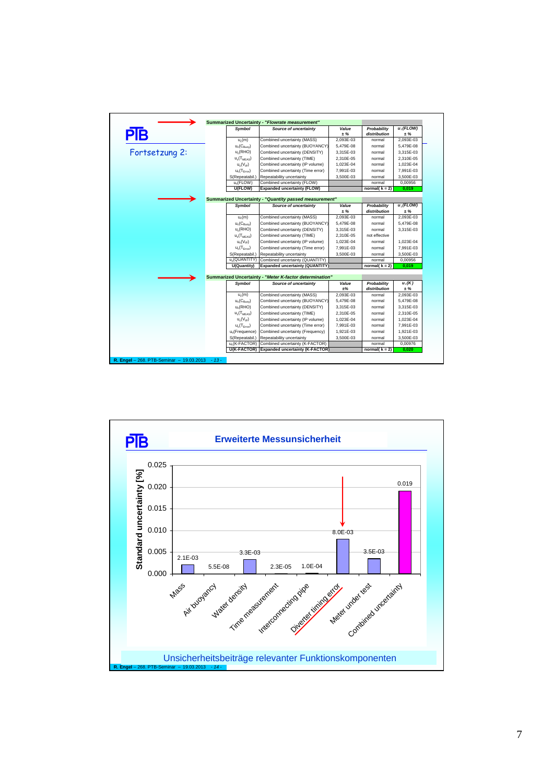| PĪВ            | Svmbol                     | <b>Source of uncertainty</b>                            | Value<br>$+ \%$ | Probability<br>distribution | $u_i$ (FLOW)<br>± % |
|----------------|----------------------------|---------------------------------------------------------|-----------------|-----------------------------|---------------------|
|                | $u_c(m)$                   | Combined uncertainty (MASS)                             | 2.093E-03       | normal                      | 2,093E-03           |
|                | $u_c(C_{\rm Ruow})$        | Combined uncertainty (BUOYANCY)                         | 5,479E-08       | normal                      | 5,479E-08           |
| Fortsetzung 2: | $u_c(RHO)$                 | Combined uncertainty (DENSITY)                          | 3.315E-03       | normal                      | 3.315E-03           |
|                | $u_c(T_{MEAS})$            | Combined uncertainty (TIME)                             | 2.310E-05       | normal                      | 2.310E-05           |
|                | $u_c(V_{\text{IP}})$       | Combined uncertainty (IP volume)                        | 1,023E-04       | normal                      | 1,023E-04           |
|                | $u_c(T_{Error})$           | Combined uncertainty (Time error)                       | 7.991E-03       | normal                      | 7.991E-03           |
|                | S(Repeatabil.)             | Repeatability uncertainty                               | 3.500E-03       | normal                      | 3,500E-03           |
|                | u <sub>c</sub> (FLOW)      | Combined uncertainty (FLOW)                             |                 | normal                      | 0.00956             |
|                | U(FLOW)                    | <b>Expanded uncertainty (FLOW)</b>                      |                 | normal( $k = 2$ )           | 0.019               |
|                |                            | Summarized Uncertainty - "Quantity passed measurement"  |                 |                             |                     |
|                | Symbol                     | <b>Source of uncertainty</b>                            | Value<br>± %    | Probability<br>distribution | $u_i$ (FLOW)<br>± % |
|                | $u_c(m)$                   | Combined uncertainty (MASS)                             | 2.093E-03       | normal                      | 2.093E-03           |
|                | $u_c(C_{\text{Buov}})$     | Combined uncertainty (BUOYANCY)                         | 5.479E-08       | normal                      | 5.479E-08           |
|                | $u_c(RHO)$                 | Combined uncertainty (DENSITY)                          | 3,315E-03       | normal                      | 3,315E-03           |
|                | $u_c(T_{MEAS})$            | Combined uncertainty (TIME)                             | 2.310E-05       | not effective               |                     |
|                | $u_c(V_{IP})$              | Combined uncertainty (IP volume)                        | 1,023E-04       | normal                      | 1,023E-04           |
|                | $u_c(T_{Frm}$              | Combined uncertainty (Time error)                       | 7.991E-03       | normal                      | 7.991E-03           |
|                | S(Repeatabil.)             | Repeatability uncertainty                               | 3,500E-03       | normal                      | 3.500E-03           |
|                | u.(QUANTITY)               | Combined uncertainty (QUANTITY)                         |                 | normal                      | 0.00956             |
|                | U(Quantity)                | <b>Expanded uncertainty (QUANTITY)</b>                  |                 | normal( $k = 2$ )           | 0.019               |
|                |                            | Summarized Uncertainty - "Meter K-factor determination" |                 |                             |                     |
|                | Symbol                     | <b>Source of uncertainty</b>                            | Value           | Probability                 | $u_i(K)$            |
|                |                            |                                                         | ±%              | distribution                | ± %                 |
|                | $u_c(m)$                   | Combined uncertainty (MASS)                             | 2.093E-03       | normal                      | 2,093E-03           |
|                | $u_c(C_{Burov})$           | Combined uncertainty (BUOYANCY)                         | 5.479E-08       | normal                      | 5.479E-08           |
|                | $u_c(RHO)$                 | Combined uncertainty (DENSITY)                          | 3,315E-03       | normal                      | 3.315E-03           |
|                | $u_c(T_{MFAS})$            | Combined uncertainty (TIME)                             | 2.310E-05       | normal                      | 2.310E-05           |
|                | $u_c(V_{IP})$              | Combined uncertainty (IP volume)                        | 1.023E-04       | normal                      | 1.023E-04           |
|                | $u_c(T_{Error})$           | Combined uncertainty (Time error)                       | 7.991E-03       | normal                      | 7.991E-03           |
|                | u <sub>c</sub> (Frequence) | Combined uncertainty (Frequency)                        | 1.921E-03       | normal                      | 1.921E-03           |
|                | S(Repeatabil.)             | Repeatability uncertainty                               | 3,500E-03       | normal                      | 3.500E-03           |
|                | u.(K-FACTOR)               | Combined uncertainty (K-FACTOR)                         |                 | normal                      | 0.00976             |
|                | <b>U(K-FACTOR)</b>         | <b>Expanded uncertainty (K-FACTOR)</b>                  |                 | normal( $k = 2$ )           | 0.020               |

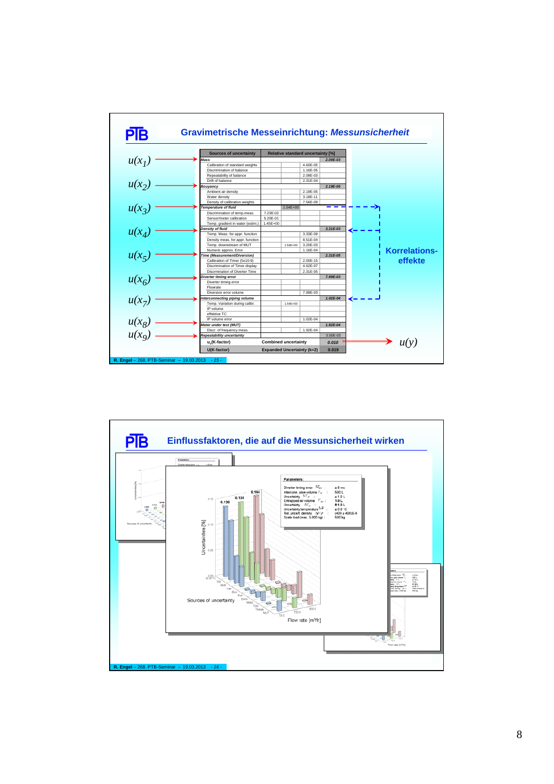

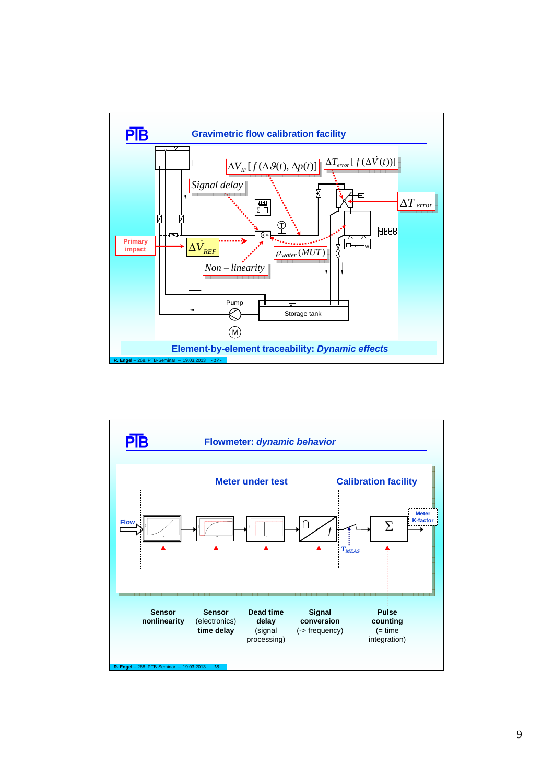

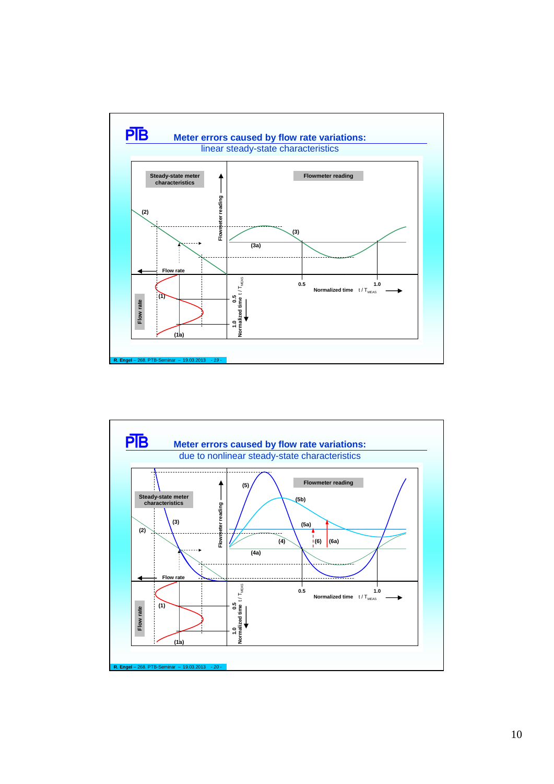

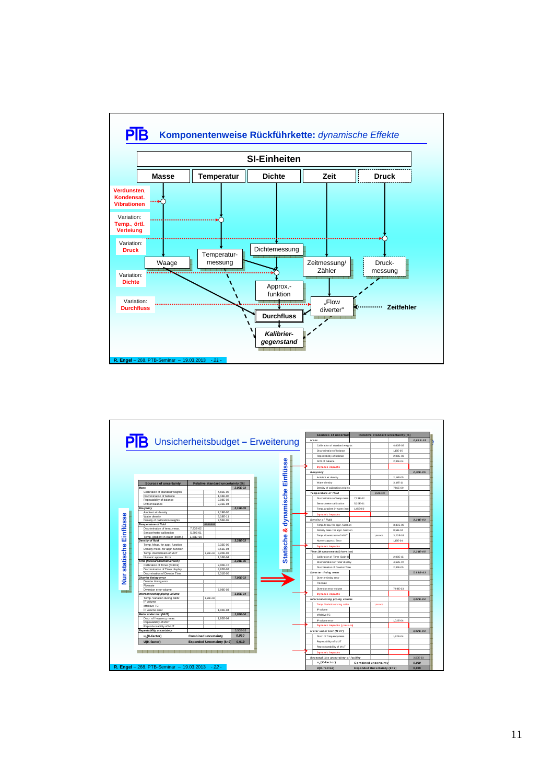

| $\overline{PB}$ Unsicherheitsbudget - Erweiterung            |                             |                |                                   |              |
|--------------------------------------------------------------|-----------------------------|----------------|-----------------------------------|--------------|
|                                                              |                             |                |                                   |              |
|                                                              |                             |                |                                   |              |
|                                                              |                             |                |                                   |              |
|                                                              |                             |                |                                   |              |
|                                                              |                             |                |                                   |              |
|                                                              |                             |                |                                   |              |
|                                                              |                             |                |                                   |              |
|                                                              |                             |                |                                   |              |
|                                                              |                             |                |                                   |              |
| <b>Sources of uncertainty</b>                                |                             |                | Relative standard uncertainty [%] |              |
| Mass                                                         |                             |                |                                   | 2.09E-03     |
| Calibration of standard weights                              |                             |                | 4.60E-05                          |              |
| Discrimination of balance                                    |                             |                | 1.16E-05                          |              |
| Repeatability of balance                                     |                             |                | 2.08E-03                          |              |
| Drift of balance                                             |                             |                | 2,31E-04                          |              |
| Bouyancy                                                     |                             |                |                                   | 2.19E-05     |
| Ambient air density                                          |                             |                | 2.19E-05                          |              |
| Water density                                                |                             |                | 3.18E-11                          |              |
| Density of calibration weights                               |                             |                | 7.56E-09                          |              |
| <b>Temperature of fluid</b>                                  |                             | <b>MANGHUN</b> |                                   |              |
| Discrimination of temp.meas.                                 | 7.23E-02                    |                |                                   |              |
| Sensor/meter calibration<br>Temp, gradient in water (estim.) | 5.20E-01<br>$1.45E + 00$    |                |                                   |              |
| <b>Density of fluid</b>                                      |                             |                |                                   | $3.31E - 03$ |
| Temp. Meas. for appr. function                               |                             |                | 3.33E-09                          |              |
| Density meas. for appr. function                             |                             |                | 8.51E-04                          |              |
| Temp. downstream of MUT                                      |                             | 1,54E+00       | 3,20E-03                          |              |
| Numeric approx. Error                                        |                             |                | 1.16E-04                          |              |
| <b>Time (Measurement/Diversion)</b>                          |                             |                |                                   | $2.31E - 05$ |
| Calibration of Timer (5x10-9)                                |                             |                | 2.00E-15                          |              |
| Discrimination of Timer display                              |                             |                | 4.62E-07                          |              |
| Discrmination of Diverter Time                               |                             |                | 2.31E-05                          |              |
| Diverter timina error                                        |                             |                |                                   | 7,99E-03     |
| Diverter timing error<br>Flowrate                            |                             |                |                                   |              |
| Diversion error volume                                       |                             |                | 7.99E-03                          |              |
| Interconnecting piping volume                                |                             |                |                                   | $1.02E - 04$ |
| Temp. Variation during calibr.                               |                             | 1.54E+00       |                                   |              |
| IP volume                                                    |                             |                |                                   |              |
| effektive TC                                                 |                             |                |                                   |              |
| IP volume error                                              |                             |                | 1.02E-04                          |              |
| Meter under test (MUT)                                       |                             |                |                                   | 1,92E-04     |
| Discr. of frequency meas                                     |                             |                | 1,92E-04                          |              |
| Repeatability of MUT                                         |                             |                |                                   |              |
| Reproduceability of MUT<br>Repeatability uncertainty         |                             |                |                                   | 3.50E-03     |
|                                                              |                             |                |                                   |              |
| u <sub>c</sub> (K-factor)                                    | <b>Combined uncertainty</b> |                |                                   | 0.010        |
| U(K-factor)                                                  |                             |                | <b>Expanded Uncertainty (k=2)</b> | 0.019        |
|                                                              |                             |                |                                   |              |
|                                                              |                             |                |                                   |              |
|                                                              |                             |                |                                   |              |
|                                                              |                             |                |                                   |              |
|                                                              |                             |                |                                   |              |